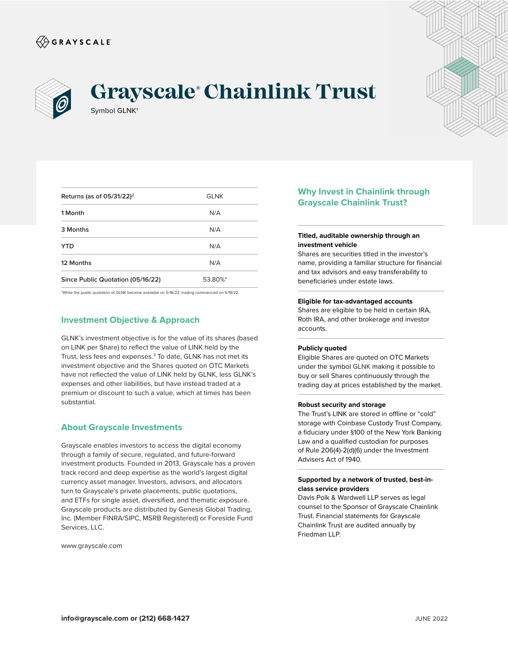



# Symbol GLNK<sup>1</sup> **Grayscale® Chainlink Trust**



| Returns (as of $05/31/22$ ) <sup>2</sup> | <b>GLNK</b> |
|------------------------------------------|-------------|
| 1 Month                                  | N/A         |
| 3 Months                                 | N/A         |
| <b>YTD</b>                               | N/A         |
| 12 Months                                | N/A         |
| Since Public Quotation (05/16/22)        | 53.80%*     |
|                                          |             |

\*While the public quotation of GLNK became available on 5/16/22, trading commenced on 5/19/22.

## **Investment Objective & Approach**

GLNK's investment objective is for the value of its shares (based on LINK per Share) to reflect the value of LINK held by the Trust, less fees and expenses.<sup>3</sup> To date, GLNK has not met its investment objective and the Shares quoted on OTC Markets have not reflected the value of LINK held by GLNK, less GLNK's expenses and other liabilities, but have instead traded at a premium or discount to such a value, which at times has been substantial.

### **About Grayscale Investments**

Grayscale enables investors to access the digital economy through a family of secure, regulated, and future-forward investment products. Founded in 2013, Grayscale has a proven track record and deep expertise as the world's largest digital currency asset manager. Investors, advisors, and allocators turn to Grayscale's private placements, public quotations, and ETFs for single asset, diversified, and thematic exposure. Grayscale products are distributed by Genesis Global Trading, Inc. (Member FINRA/SIPC, MSRB Registered) or Foreside Fund Services, LLC.

www.grayscale.com

## **Why Invest in Chainlink through Grayscale Chainlink Trust?**

#### **Titled, auditable ownership through an investment vehicle**

Shares are securities titled in the investor's name, providing a familiar structure for financial and tax advisors and easy transferability to beneficiaries under estate laws.

#### **Eligible for tax-advantaged accounts**

Shares are eligible to be held in certain IRA, Roth IRA, and other brokerage and investor accounts.

#### **Publicly quoted**

Eligible Shares are quoted on OTC Markets under the symbol GLNK making it possible to buy or sell Shares continuously through the trading day at prices established by the market.

#### **Robust security and storage**

The Trust's LINK are stored in offline or "cold" storage with Coinbase Custody Trust Company, a fiduciary under §100 of the New York Banking Law and a qualified custodian for purposes of Rule 206(4)-2(d)(6) under the Investment Advisers Act of 1940.

#### **Supported by a network of trusted, best-inclass service providers**

Davis Polk & Wardwell LLP serves as legal counsel to the Sponsor of Grayscale Chainlink Trust. Financial statements for Grayscale Chainlink Trust are audited annually by Friedman LLP.